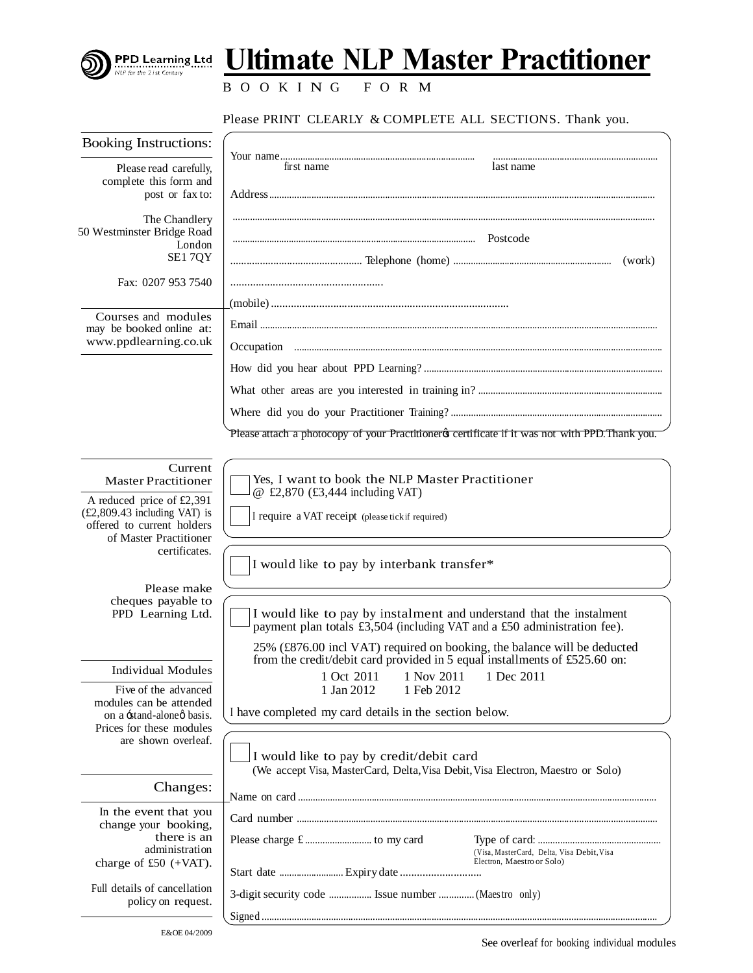

## **Ultimate NLP Master Practitioner**

B O O K I N G F O R M

Please PRINT CLEARLY & COMPLETE ALL SECTIONS. Thank you.

| <b>Booking Instructions:</b>                                                               |                                                                                                                                                  |  |  |
|--------------------------------------------------------------------------------------------|--------------------------------------------------------------------------------------------------------------------------------------------------|--|--|
| Please read carefully,                                                                     | first name<br>last name                                                                                                                          |  |  |
| complete this form and<br>post or fax to:                                                  |                                                                                                                                                  |  |  |
|                                                                                            |                                                                                                                                                  |  |  |
| The Chandlery<br>50 Westminster Bridge Road                                                |                                                                                                                                                  |  |  |
| London                                                                                     |                                                                                                                                                  |  |  |
| SE17QY                                                                                     | (work)                                                                                                                                           |  |  |
| Fax: 0207 953 7540                                                                         |                                                                                                                                                  |  |  |
|                                                                                            |                                                                                                                                                  |  |  |
| Courses and modules<br>may be booked online at:                                            |                                                                                                                                                  |  |  |
| www.ppdlearning.co.uk                                                                      |                                                                                                                                                  |  |  |
|                                                                                            |                                                                                                                                                  |  |  |
|                                                                                            |                                                                                                                                                  |  |  |
|                                                                                            |                                                                                                                                                  |  |  |
|                                                                                            | Please attach a photocopy of your Practitioner & certificate if it was not with PPD. Thank you.                                                  |  |  |
| Current<br><b>Master Practitioner</b>                                                      | Yes, I want to book the NLP Master Practitioner                                                                                                  |  |  |
|                                                                                            | @ £2,870 (£3,444 including VAT)                                                                                                                  |  |  |
| A reduced price of £2,391<br>$(E2,809.43)$ including VAT) is<br>offered to current holders | I require a VAT receipt (please tick if required)                                                                                                |  |  |
| of Master Practitioner<br>certificates.                                                    |                                                                                                                                                  |  |  |
|                                                                                            | I would like to pay by interbank transfer*                                                                                                       |  |  |
| Please make                                                                                |                                                                                                                                                  |  |  |
| cheques payable to<br>PPD Learning Ltd.                                                    | I would like to pay by instalment and understand that the instalment<br>payment plan totals £3,504 (including VAT and a £50 administration fee). |  |  |
|                                                                                            | 25% (£876.00 incl VAT) required on booking, the balance will be deducted                                                                         |  |  |
| <b>Individual Modules</b>                                                                  | from the credit/debit card provided in 5 equal installments of £525.60 on:<br>1 Oct 2011<br>1 Nov 2011 1 Dec 2011                                |  |  |
| Five of the advanced                                                                       | 1 Jan 2012<br>1 Feb 2012                                                                                                                         |  |  |
| modules can be attended<br>on a stand-alone basis.                                         | I have completed my card details in the section below.                                                                                           |  |  |
| Prices for these modules<br>are shown overleaf.                                            |                                                                                                                                                  |  |  |
|                                                                                            | I would like to pay by credit/debit card<br>(We accept Visa, MasterCard, Delta, Visa Debit, Visa Electron, Maestro or Solo)                      |  |  |
| Changes:                                                                                   |                                                                                                                                                  |  |  |
| In the event that you                                                                      |                                                                                                                                                  |  |  |
| change your booking,<br>there is an                                                        |                                                                                                                                                  |  |  |
| administration                                                                             | (Visa, MasterCard, Delta, Visa Debit, Visa                                                                                                       |  |  |
| charge of $£50 (+VAT)$ .                                                                   | Electron, Maestro or Solo)                                                                                                                       |  |  |
| Full details of cancellation<br>policy on request.                                         | 3-digit security code  Issue number  (Maestro only)                                                                                              |  |  |
|                                                                                            |                                                                                                                                                  |  |  |